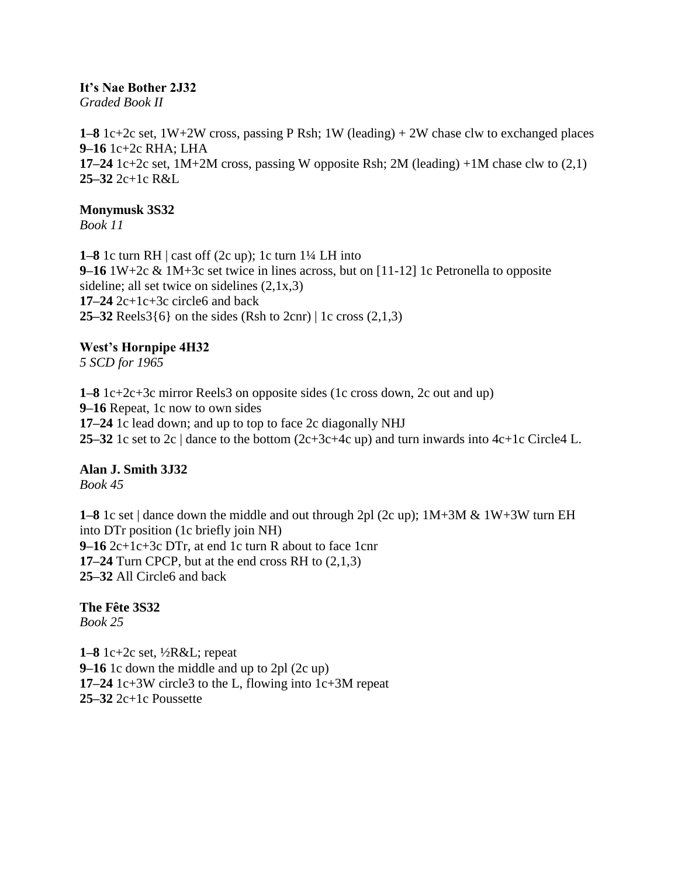#### **It's Nae Bother 2J32**

*Graded Book II*

**1–8** 1c+2c set, 1W+2W cross, passing P Rsh; 1W (leading) + 2W chase clw to exchanged places **9–16** 1c+2c RHA; LHA **17–24** 1c+2c set, 1M+2M cross, passing W opposite Rsh; 2M (leading) +1M chase clw to (2,1) **25–32** 2c+1c R&L

#### **Monymusk 3S32**

*Book 11*

**1–8** 1c turn RH | cast off (2c up); 1c turn 1¼ LH into **9–16** 1W+2c & 1M+3c set twice in lines across, but on [11-12] 1c Petronella to opposite sideline; all set twice on sidelines (2,1x,3) **17–24** 2c+1c+3c circle6 and back **25–32** Reels3{6} on the sides (Rsh to 2cnr) | 1c cross (2,1,3)

# **West's Hornpipe 4H32**

*5 SCD for 1965*

**1–8** 1c+2c+3c mirror Reels3 on opposite sides (1c cross down, 2c out and up) **9–16** Repeat, 1c now to own sides **17–24** 1c lead down; and up to top to face 2c diagonally NHJ **25–32** 1c set to 2c | dance to the bottom (2c+3c+4c up) and turn inwards into 4c+1c Circle4 L.

#### **Alan J. Smith 3J32**

*Book 45*

**1–8** 1c set | dance down the middle and out through 2pl (2c up); 1M+3M & 1W+3W turn EH into DTr position (1c briefly join NH) **9–16** 2c+1c+3c DTr, at end 1c turn R about to face 1cnr **17–24** Turn CPCP, but at the end cross RH to (2,1,3) **25–32** All Circle6 and back

**The Fête 3S32** *Book 25*

**1–8** 1c+2c set, ½R&L; repeat **9–16** 1c down the middle and up to 2pl (2c up) **17–24** 1c+3W circle3 to the L, flowing into 1c+3M repeat **25–32** 2c+1c Poussette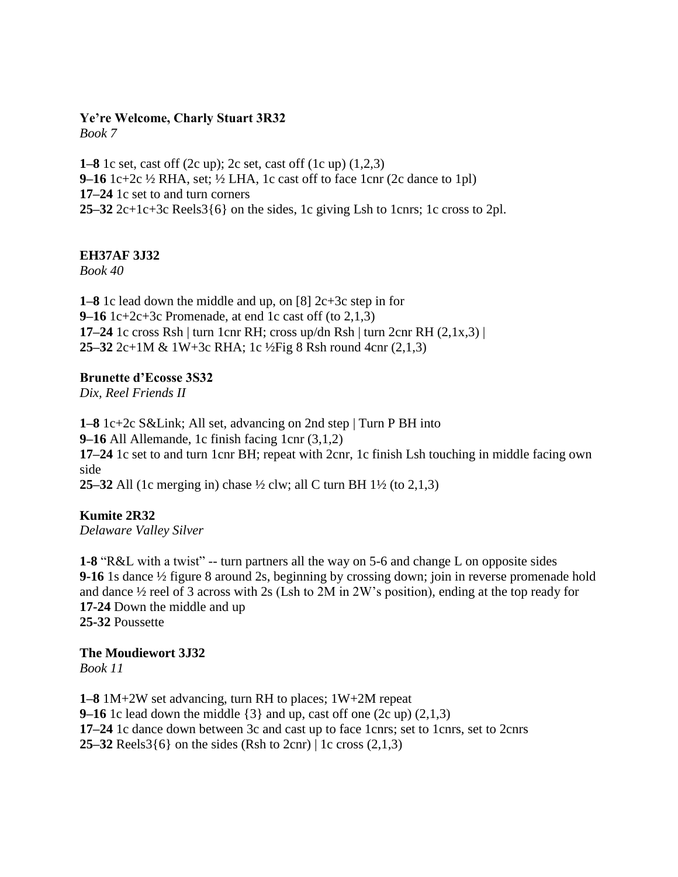#### **Ye're Welcome, Charly Stuart 3R32** *Book 7*

**1–8** 1c set, cast off (2c up); 2c set, cast off (1c up) (1,2,3) **9–16** 1c+2c ½ RHA, set; ½ LHA, 1c cast off to face 1cnr (2c dance to 1pl) **17–24** 1c set to and turn corners **25–32** 2c+1c+3c Reels3 $\{6\}$  on the sides, 1c giving Lsh to 1cnrs; 1c cross to 2pl.

## **EH37AF 3J32**

*Book 40*

**1–8** 1c lead down the middle and up, on [8] 2c+3c step in for **9–16** 1c+2c+3c Promenade, at end 1c cast off (to 2,1,3) **17–24** 1c cross Rsh | turn 1cnr RH; cross up/dn Rsh | turn 2cnr RH  $(2,1x,3)$  | **25–32** 2c+1M & 1W+3c RHA; 1c ½Fig 8 Rsh round 4cnr (2,1,3)

## **Brunette d'Ecosse 3S32**

*Dix, Reel Friends II*

**1–8** 1c+2c S&Link; All set, advancing on 2nd step | Turn P BH into **9–16** All Allemande, 1c finish facing 1cnr (3,1,2) **17–24** 1c set to and turn 1cnr BH; repeat with 2cnr, 1c finish Lsh touching in middle facing own side **25–32** All (1c merging in) chase ½ clw; all C turn BH 1½ (to 2,1,3)

**Kumite 2R32** *Delaware Valley Silver*

**1-8** "R&L with a twist" -- turn partners all the way on 5-6 and change L on opposite sides **9-16** 1s dance ½ figure 8 around 2s, beginning by crossing down; join in reverse promenade hold and dance ½ reel of 3 across with 2s (Lsh to 2M in 2W's position), ending at the top ready for **17-24** Down the middle and up **25-32** Poussette

## **The Moudiewort 3J32**

*Book 11*

**1–8** 1M+2W set advancing, turn RH to places; 1W+2M repeat **9–16** 1c lead down the middle  $\{3\}$  and up, cast off one  $(2c \text{ up}) (2,1,3)$ **17–24** 1c dance down between 3c and cast up to face 1cnrs; set to 1cnrs, set to 2cnrs **25–32** Reels3{6} on the sides (Rsh to 2cnr) | 1c cross (2,1,3)